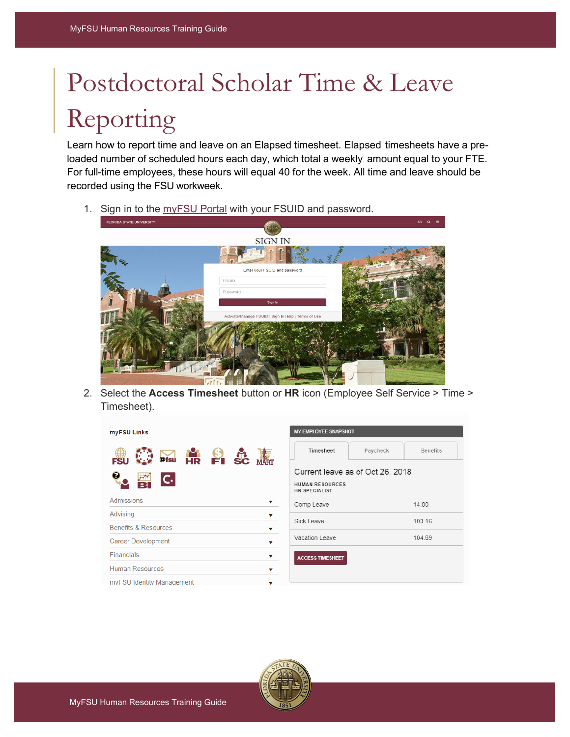## Postdoctoral Scholar Time & Leave Reporting

Learn how to report time and leave on an Elapsed timesheet. Elapsed timesheets have a preloaded number of scheduled hours each day, which total a weekly amount equal to your FTE. For full-time employees, these hours will equal 40 for the week. All time and leave should be recorded using the FSU workweek.

1. Sign in to the [myFSU Portal](https://cas.fsu.edu/cas/login?service=https%3A%2F%2Fwww.my.fsu.edu%2Fkurogo_login%2Freturn%2Flogin%2Fprdcas) with your FSUID and password.



2. Select the **Access Timesheet** button or **HR** icon (Employee Self Service > Time > Timesheet).

| myFSU Links                              |  |  |  |  |  |  |  |  |
|------------------------------------------|--|--|--|--|--|--|--|--|
| $\frac{6}{5}$ 3c<br>@fsu<br>$\mathsf{C}$ |  |  |  |  |  |  |  |  |
| <b>Admissions</b>                        |  |  |  |  |  |  |  |  |
| Advising                                 |  |  |  |  |  |  |  |  |
| <b>Benefits &amp; Resources</b>          |  |  |  |  |  |  |  |  |
| <b>Career Development</b>                |  |  |  |  |  |  |  |  |
| Financials                               |  |  |  |  |  |  |  |  |
| <b>Human Resources</b>                   |  |  |  |  |  |  |  |  |
| myFSU Identity Management                |  |  |  |  |  |  |  |  |

| MY EMPLOYEE SNAPSHOT                           |          |                 |  |  |  |  |  |
|------------------------------------------------|----------|-----------------|--|--|--|--|--|
| Timesheet                                      | Paycheck | <b>Benefits</b> |  |  |  |  |  |
| Current leave as of Oct 26, 2018               |          |                 |  |  |  |  |  |
| <b>HUMAN RESOURCES</b><br><b>HR SPECIALIST</b> |          |                 |  |  |  |  |  |
| Comp Leave                                     |          | 14.00           |  |  |  |  |  |
| Sick Leave                                     |          | 103.16          |  |  |  |  |  |
| Vacation Leave                                 |          | 104.69          |  |  |  |  |  |
| <b>ACCESS TIMESHEET</b>                        |          |                 |  |  |  |  |  |

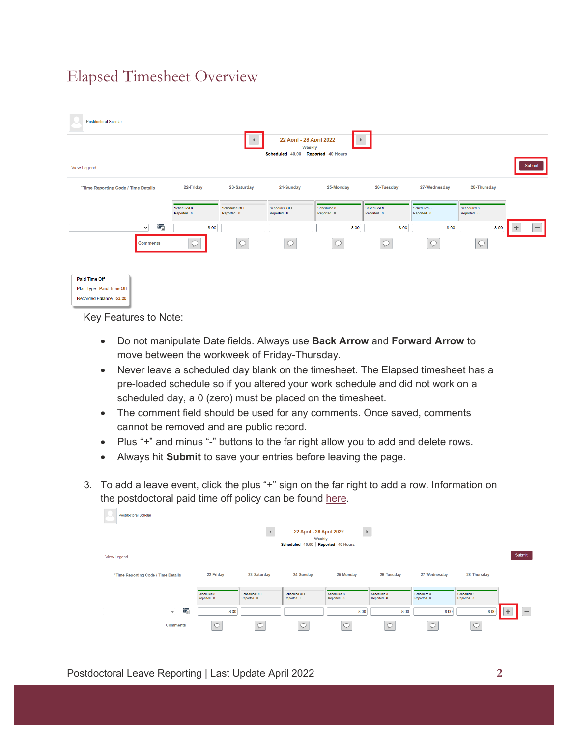## Elapsed Timesheet Overview

| Postdoctoral Scholar                |                           |                             |                                                                           |                           |                           |                           |                           |                               |
|-------------------------------------|---------------------------|-----------------------------|---------------------------------------------------------------------------|---------------------------|---------------------------|---------------------------|---------------------------|-------------------------------|
|                                     |                           | $\blacktriangleleft$        | 22 April - 28 April 2022<br>Weekly<br>Scheduled 40.00   Reported 40 Hours |                           |                           |                           |                           |                               |
| View Legend                         |                           |                             |                                                                           |                           |                           |                           |                           | Submit                        |
| *Time Reporting Code / Time Details | 22-Friday                 | 23-Saturday                 | 24-Sunday                                                                 | 25-Monday                 | 26-Tuesday                | 27-Wednesday              | 28-Thursday               |                               |
|                                     | Scheduled 8<br>Reported 8 | Scheduled OFF<br>Reported 0 | Scheduled OFF<br>Reported 0                                               | Scheduled 8<br>Reported 8 | Scheduled 8<br>Reported 8 | Scheduled 8<br>Reported 8 | Scheduled 8<br>Reported 8 |                               |
| ą,<br>$\checkmark$                  | 8.00                      |                             |                                                                           | 8.00                      | 8.00                      | 8.00                      | 8.00                      | ÷<br>$\overline{\phantom{a}}$ |
| <b>Comments</b>                     | $\circ$                   | $\circ$                     | $\circ$                                                                   | $\circ$                   |                           | $\circ$                   | $\circ$                   |                               |
| Paid Time Off                       |                           |                             |                                                                           |                           |                           |                           |                           |                               |
| Plan Type Paid Time Off             |                           |                             |                                                                           |                           |                           |                           |                           |                               |
| Recorded Balance 53.20              |                           |                             |                                                                           |                           |                           |                           |                           |                               |

Key Features to Note:

- Do not manipulate Date fields. Always use **Back Arrow** and **Forward Arrow** to move between the workweek of Friday-Thursday.
- Never leave a scheduled day blank on the timesheet. The Elapsed timesheet has a pre-loaded schedule so if you altered your work schedule and did not work on a scheduled day, a 0 (zero) must be placed on the timesheet.
- The comment field should be used for any comments. Once saved, comments cannot be removed and are public record.
- Plus "+" and minus "-" buttons to the far right allow you to add and delete rows.
- Always hit **Submit** to save your entries before leaving the page.
- 3. To add a leave event, click the plus "+" sign on the far right to add a row. Information on the postdoctoral paid time off policy can be found [here.](https://policies.vpfa.fsu.edu/policies-and-procedures/faculty-staff/attendance-and-leave#E12)

| <b>Postdoctoral Scholar</b>                     |                           |                                    |                                    |                           |                           |                           |                           |          |
|-------------------------------------------------|---------------------------|------------------------------------|------------------------------------|---------------------------|---------------------------|---------------------------|---------------------------|----------|
|                                                 |                           |                                    | 22 April - 28 April 2022<br>Weekly | $\,$ $\,$                 |                           |                           |                           |          |
|                                                 |                           |                                    | Scheduled 40.00 Reported 40 Hours  |                           |                           |                           |                           |          |
| View Legend                                     |                           |                                    |                                    |                           |                           |                           |                           | Submit   |
| <sup>*</sup> Time Reporting Code / Time Details | 22-Friday                 | 23-Saturday                        | 24-Sunday                          | 25-Monday                 | 26-Tuesday                | 27-Wednesday              | 28-Thursday               |          |
|                                                 | Scheduled 8<br>Reported 8 | <b>Scheduled OFF</b><br>Reported 0 | <b>Scheduled OFF</b><br>Reported 0 | Scheduled 8<br>Reported 8 | Scheduled 8<br>Reported 8 | Scheduled 8<br>Reported 8 | Scheduled 8<br>Reported 8 |          |
| ÷,<br>$\checkmark$                              | 8.00                      |                                    |                                    | 8.00                      | 8.00                      | 8.00                      | 8.00                      | $\equiv$ |
| <b>Comments</b>                                 |                           |                                    |                                    |                           |                           |                           | ╰                         |          |